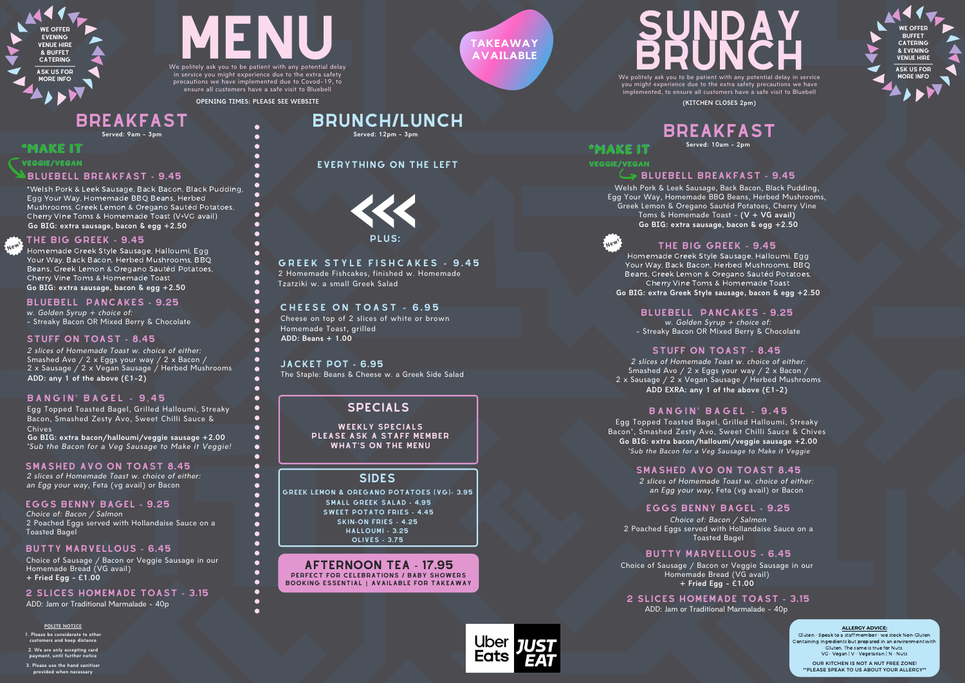WE OFFER **BUFFET** CATERING & EVENING VENUE HIRE

#### BLUEBELL BREAKFAST **-** 9.45

Choice of Sausage / Bacon or Veggie Sausage in our Homemade Bread (VG avail) **+ Fried Egg - £1.00**

2 Homemade Fishcakes, finished w. Homemade Tzatziki w. a small Greek Salad

Cheese on top of 2 slices of white or brown Homemade Toast, grilled **ADD: Beans + 1.00**

#### EVERYTHING ON THE LEFT

w. Golden Syrup  $+$  choice of: - Streaky Bacon OR Mixed Berry & Chocolate



\*Welsh Pork & Leek Sausage, Back Bacon, Black Pudding, Egg Your Way, Homemade BBQ Beans, Herbed Mushrooms, Greek Lemon & Oregano Sautéd Potatoes, Cherry Vine Toms & Homemade Toast (V+VG avail) **Go BIG: extra sausage, bacon & egg +2.50**

Choice of: Bacon / Salmon 2 Poached Eggs served with Hollandaise Sauce on a Toasted Bagel EGGS BENNY BAGEL **-** 9.25

in service you might experience due to the extra safety precautions we have implemented due to Covod-19, to ensure all customers have a safe visit to Bluebell

## BRUNCH/LUNCH

## BREAKFAST

BLUEBELL PANCAKES **-** 9.25

2 SLICES HOMEMADE TOAST **-** 3.15

you might experience due to the extra safety precautions we have implemented, to ensure all customers have a safe visit to Bluebell

#### STUFF ON TOAST **-** 8.45



#### BUTTY MARVELLOUS **-** 6.45

2 slices of Homemade Toast w. choice of either: Smashed Avo / 2 x Eggs your way / 2 x Bacon / 2 x Sausage / 2 x Vegan Sausage / Herbed Mushrooms **ADD: any 1 of the above (£1-2)**

#### **BANGIN' BAGEL - 9.45**

**OPENING TIMES: PLEASE SEE WEBSITE**

 $\bullet$  $\bullet$  $\bullet$ 

 $\bullet$  $\bullet$  $\bullet$  $\bullet$  $\bullet$ 

#### C H E E S E O N T O A S T **-** 6 . 9 5

The Staple: Beans & Cheese w. a Greek Side Salad JACKET POT **-** 6.95

#### SIDES

**Served: 9am - 3pm**

#### \*MAKE IT

VEGGIE/VEGAN

New!

#### SPECIALS

WEEKLY SPECIALS PLEASE ASK A STAFF MEMBER WHAT'S ON THE MENU

#### w. Golden Syrup  $+$  choice of: BLUEBELL PANCAKES **-** 9.25

Egg Topped Toasted Bagel, Grilled Halloumi, Streaky Bacon, Smashed Zesty Avo, Sweet Chilli Sauce & Chives **Go BIG: extra bacon/halloumi/veggie sausage +2.00**

\*Sub the Bacon for a Veg Sausage to Make it Veggie!

SKIN**-**ON FRIES **-** 4.25 SWEET POTATO FRIES **-** 4.45 HALLOUMI **-** 3.25 GREEK LEMON & OREGANO POTATOES (VG)**-** 3.95 OLIVES **-** 3.75 SMALL GREEK SALAD **-** 4.95

SMASHED AVO ON TOAST 8.45 2 slices of Homemade Toast w. choice of either: an Egg your way, Feta (vg avail) or Bacon

Homemade Greek Style Sausage, Halloumi, Egg Your Way, Back Bacon, Herbed Mushrooms, BBQ Beans, Greek Lemon & Oregano Sautéd Potatoes, Cherry Vine Toms & Homemade Toast **Go BIG: extra Greek Style sausage, bacon & egg +2.50**

AFTERNOON TEA - 17.95 PERFECT FOR CELEBRATIONS / BABY SHOWERS BOOKING ESSENTIAL **|** AVAILABLE FOR TAKEAWAY

#### **ALLERGY ADVICE:**

Gluten - Speak to a staff member - we stock Non-Gluten Containing Ingredients but prepared in an environment with Gluten. The same is true for Nuts. VG - Vegan | V - Vegetarian | N - Nuts

OUR KITCHEN IS NOT A NUT FREE ZONE! \*\*PLEASE SPEAK TO US ABOUT YOUR ALLERGY\*\*



#### **GREEK STYLE FISHCAKES - 9.45**



ASK US FOR MORE INFO

**(KITCHEN CLOSES 2pm)**

**TAKEAWAY AVAILABLE**

## SUNDAY.  $\textbf{B}\textbf{R}\textbf{U}\textbf{N}\textbf{C}\textbf{H}$ <br>We politely ask you to be patient with any potential delay in service R

## BREAKFAST

\*MAKE IT VEGGIE/VEGAN

New!



**Served: 12pm - 3pm**

#### **POLITE NOTICE**

**1. Please be considerate to other customers and keep distance**

**2. We are only accepting card payment, until further notice 3. Please use the hand sanitiser**

**provided when necessary**

#### THE BIG GREEK **-** 9.45

Choice of Sausage / Bacon or Veggie Sausage in our Homemade Bread (VG avail) **+ Fried Egg - £1.00**

Choice of: Bacon / Salmon 2 Poached Eggs served with Hollandaise Sauce on a Toasted Bagel

Welsh Pork & Leek Sausage, Back Bacon, Black Pudding, Egg Your Way, Homemade BBQ Beans, Herbed Mushrooms, Greek Lemon & Oregano Sautéd Potatoes, Cherry Vine Toms & Homemade Toast - **(V + VG avail) Go BIG: extra sausage, bacon & egg +2.50**



- Streaky Bacon OR Mixed Berry & Chocolate

#### BLUEBELL BREAKFAST **-** 9.45

#### EGGS BENNY BAGEL **-** 9.25

### 2 SLICES HOMEMADE TOAST **-** 3.15

**Go BIG: extra sausage, bacon & egg +2.50** Homemade Greek Style Sausage, Halloumi, Egg Your Way, Back Bacon, Herbed Mushrooms, BBQ Beans, Greek Lemon & Oregano Sautéd Potatoes, Cherry Vine Toms & Homemade Toast

> 2 slices of Homemade Toast w. choice of either: Smashed Avo / 2 x Eggs your way / 2 x Bacon / 2 x Sausage / 2 x Vegan Sausage / Herbed Mushrooms **ADD EXRA: any 1 of the above (£1-2)**

#### **BANGIN' BAGEL - 9.45**

#### STUFF ON TOAST **-** 8.45

#### BUTTY MARVELLOUS **-** 6.45

Egg Topped Toasted Bagel, Grilled Halloumi, Streaky Bacon\*, Smashed Zesty Avo, Sweet Chilli Sauce & Chives \*Sub the Bacon for a Veg Sausage to Make it Veggie **Go BIG: extra bacon/halloumi/veggie sausage +2.00**

## SMASHED AVO ON TOAST 8.45

2 slices of Homemade Toast w. choice of either: an Egg your way, Feta (vg avail) or Bacon

#### THE BIG GREEK **-** 9.45

ADD: Jam or Traditional Marmalade - 40p

ADD: Jam or Traditional Marmalade - 40p